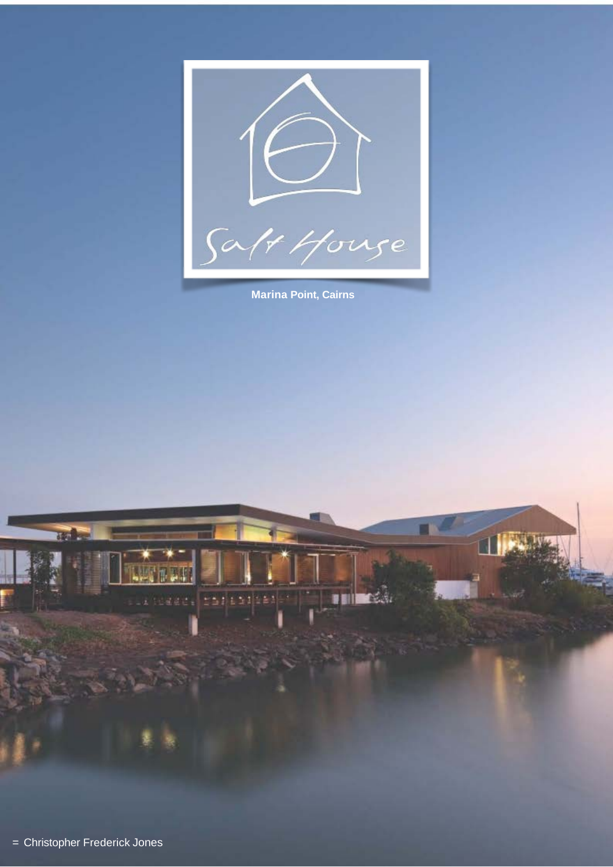

**Marina Point, Cairns**

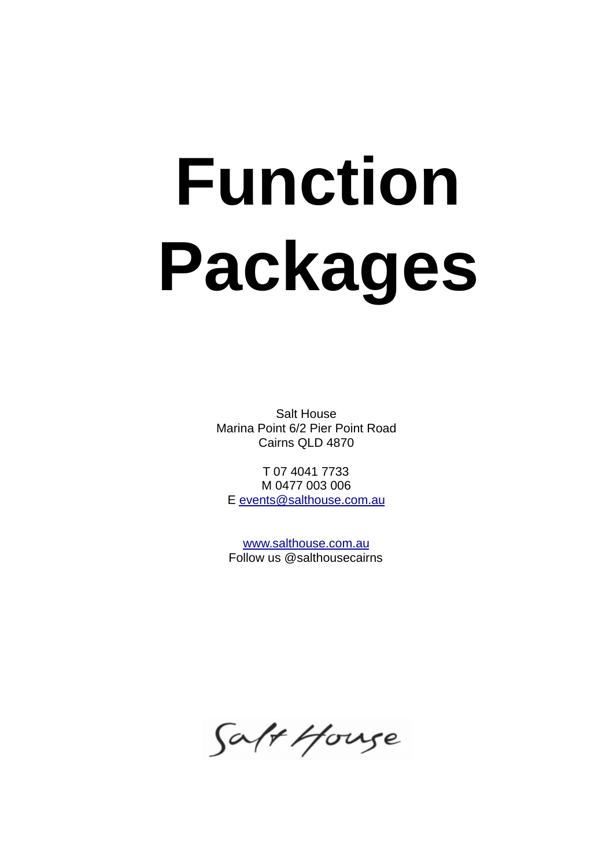# **Function Packages**

Salt House Marina Point 6/2 Pier Point Road Cairns QLD 4870

T 07 4041 7733 M 0477 003 006 E [events@salthouse.com.au](mailto:events@salthouse.com.au)

[www.salthouse.com.au](http://www.salthouse.com.au) Follow us @salthousecairns

Saft House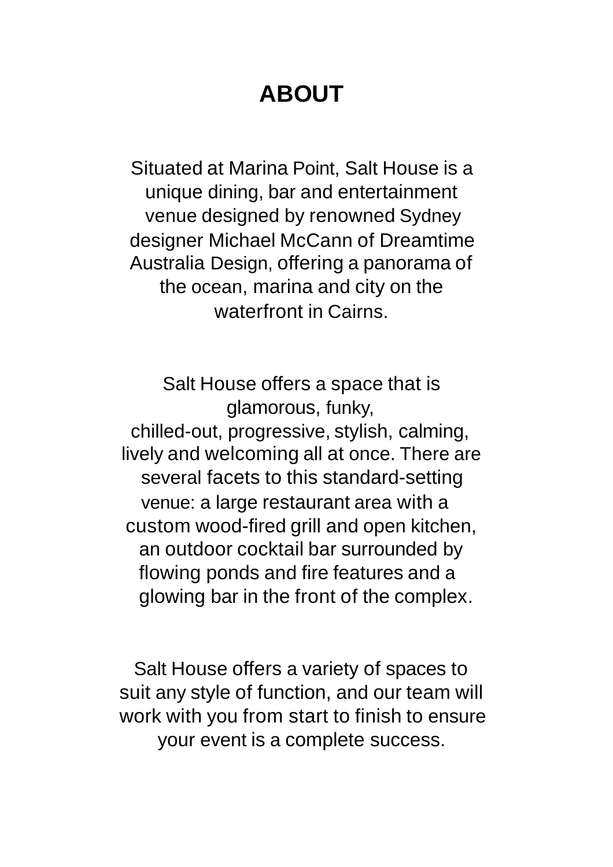# **ABOUT**

Situated at Marina Point, Salt House is a unique dining, bar and entertainment venue designed by renowned Sydney designer Michael McCann of Dreamtime Australia Design, offering a panorama of the ocean, marina and city on the waterfront in Cairns.

Salt House offers a space that is glamorous, funky, chilled-out, progressive, stylish, calming, lively and welcoming all at once. There are several facets to this standard-setting venue: a large restaurant area with a custom wood-fired grill and open kitchen, an outdoor cocktail bar surrounded by flowing ponds and fire features and a glowing bar in the front of the complex.

Salt House offers a variety of spaces to suit any style of function, and our team will work with you from start to finish to ensure your event is a complete success.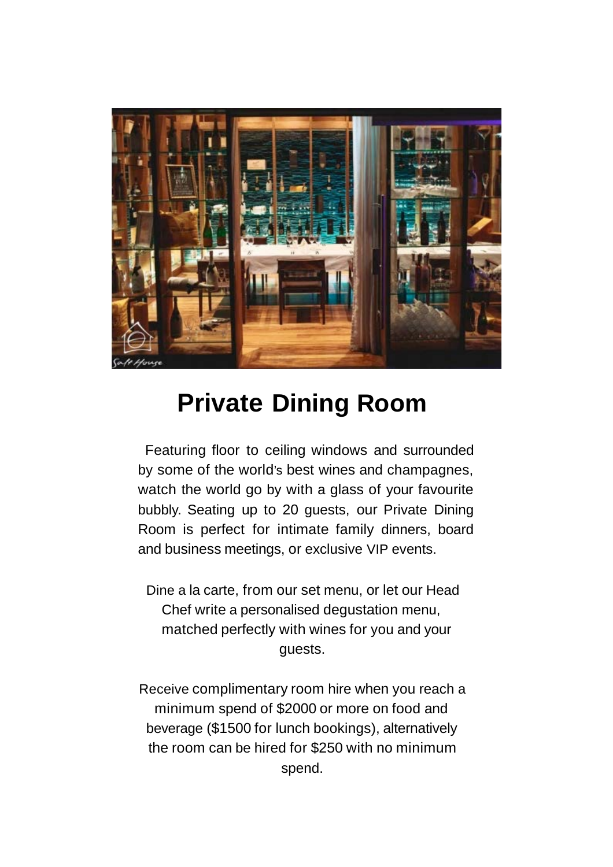

## **Private Dining Room**

Featuring floor to ceiling windows and surrounded by some of the world's best wines and champagnes, watch the world go by with a glass of your favourite bubbly. Seating up to 20 guests, our Private Dining Room is perfect for intimate family dinners, board and business meetings, or exclusive VIP events.

Dine a la carte, from our set menu, or let our Head Chef write a personalised degustation menu, matched perfectly with wines for you and your guests.

Receive complimentary room hire when you reach a minimum spend of \$2000 or more on food and beverage (\$1500 for lunch bookings), alternatively the room can be hired for \$250 with no minimum spend.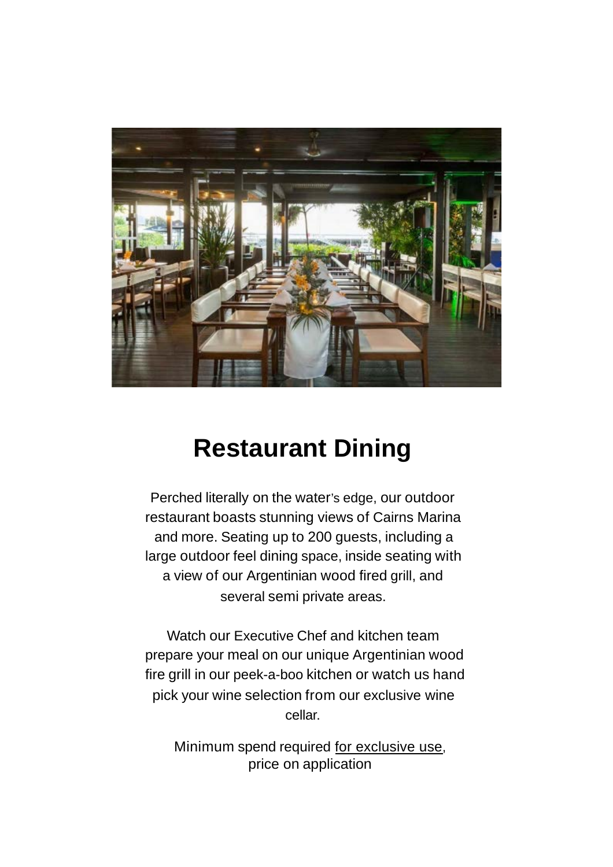

# **Restaurant Dining**

Perched literally on the water's edge, our outdoor restaurant boasts stunning views of Cairns Marina and more. Seating up to 200 guests, including a large outdoor feel dining space, inside seating with a view of our Argentinian wood fired grill, and several semi private areas.

Watch our Executive Chef and kitchen team prepare your meal on our unique Argentinian wood fire grill in our peek-a-boo kitchen or watch us hand pick your wine selection from our exclusive wine cellar.

Minimum spend required for exclusive use, price on application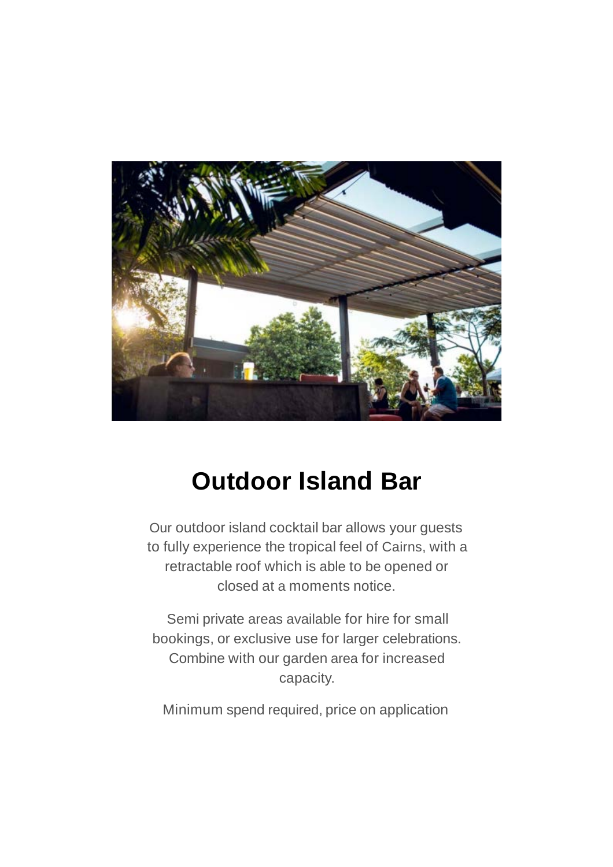

## **Outdoor Island Bar**

Our outdoor island cocktail bar allows your guests to fully experience the tropical feel of Cairns, with a retractable roof which is able to be opened or closed at a moments notice.

Semi private areas available for hire for small bookings, or exclusive use for larger celebrations. Combine with our garden area for increased capacity.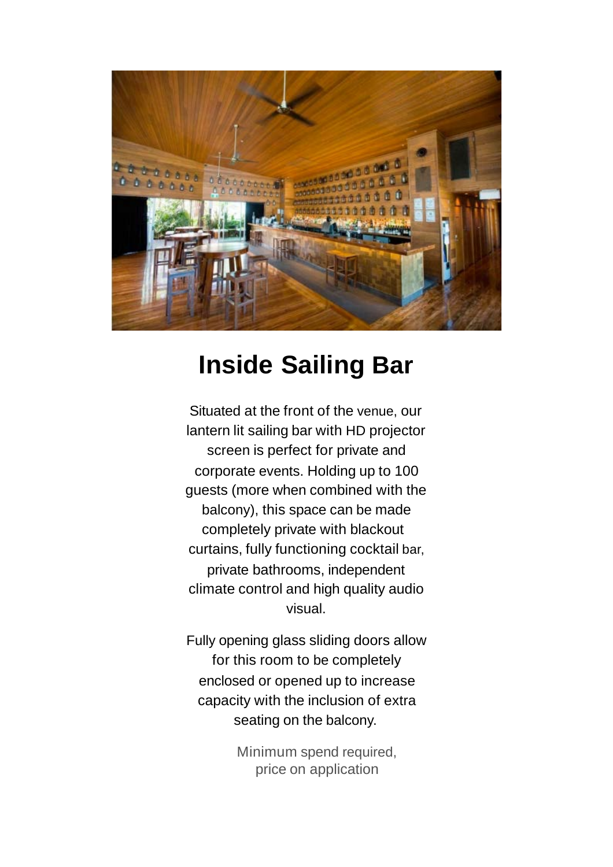

## **Inside Sailing Bar**

Situated at the front of the venue, our lantern lit sailing bar with HD projector screen is perfect for private and corporate events. Holding up to 100 guests (more when combined with the balcony), this space can be made completely private with blackout curtains, fully functioning cocktail bar, private bathrooms, independent climate control and high quality audio visual.

Fully opening glass sliding doors allow for this room to be completely enclosed or opened up to increase capacity with the inclusion of extra seating on the balcony.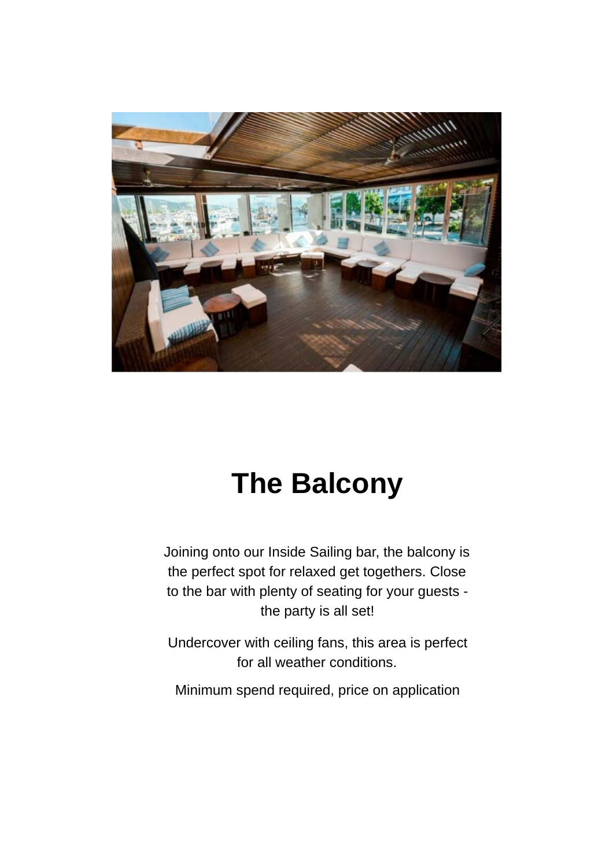

# **The Balcony**

Joining onto our Inside Sailing bar, the balcony is the perfect spot for relaxed get togethers. Close to the bar with plenty of seating for your guests the party is all set!

Undercover with ceiling fans, this area is perfect for all weather conditions.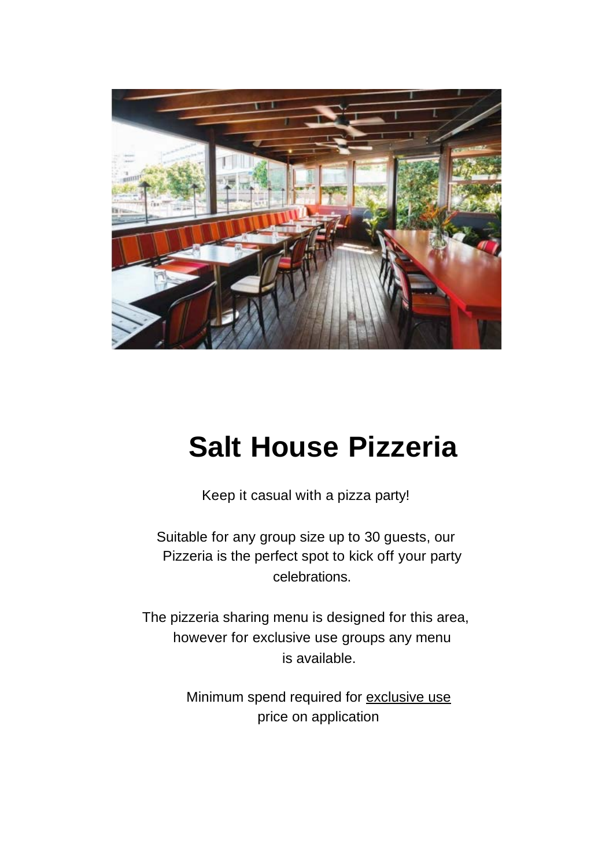

# **Salt House Pizzeria**

Keep it casual with a pizza party!

Suitable for any group size up to 30 guests, our Pizzeria is the perfect spot to kick off your party celebrations.

The pizzeria sharing menu is designed for this area, however for exclusive use groups any menu is available.

> Minimum spend required for exclusive use price on application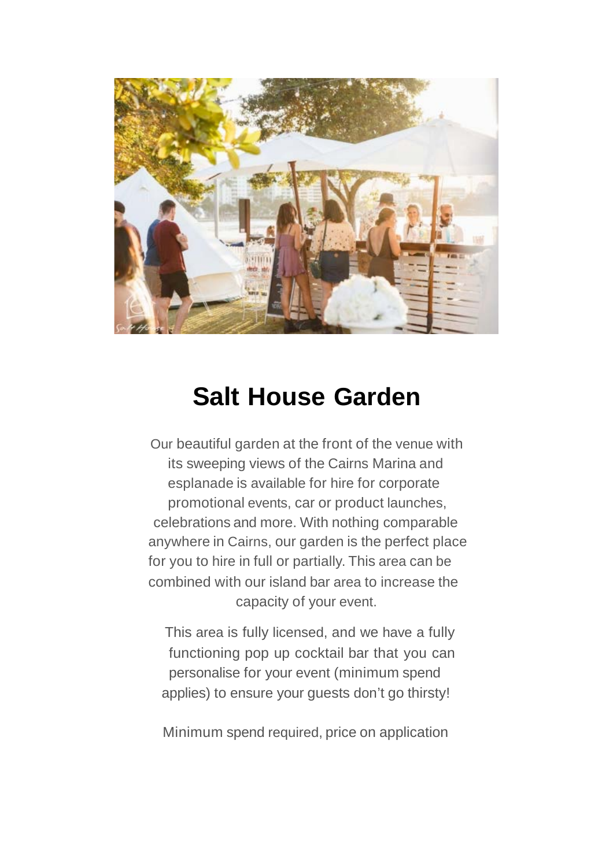

# **Salt House Garden**

Our beautiful garden at the front of the venue with its sweeping views of the Cairns Marina and esplanade is available for hire for corporate promotional events, car or product launches, celebrations and more. With nothing comparable anywhere in Cairns, our garden is the perfect place for you to hire in full or partially. This area can be combined with our island bar area to increase the capacity of your event.

This area is fully licensed, and we have a fully functioning pop up cocktail bar that you can personalise for your event (minimum spend applies) to ensure your guests don't go thirsty!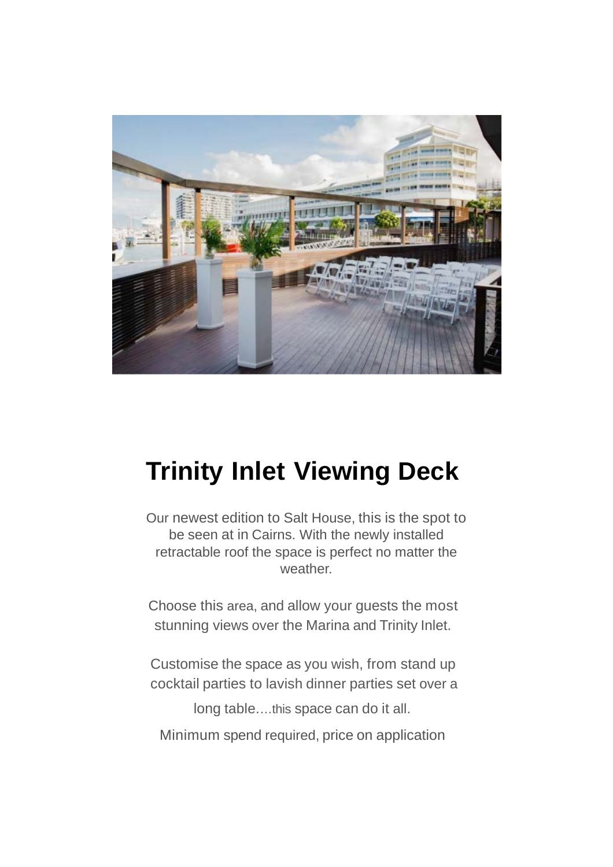

# **Trinity Inlet Viewing Deck**

Our newest edition to Salt House, this is the spot to be seen at in Cairns. With the newly installed retractable roof the space is perfect no matter the weather.

Choose this area, and allow your guests the most stunning views over the Marina and Trinity Inlet.

Customise the space as you wish, from stand up cocktail parties to lavish dinner parties set over a

long table.…this space can do it all.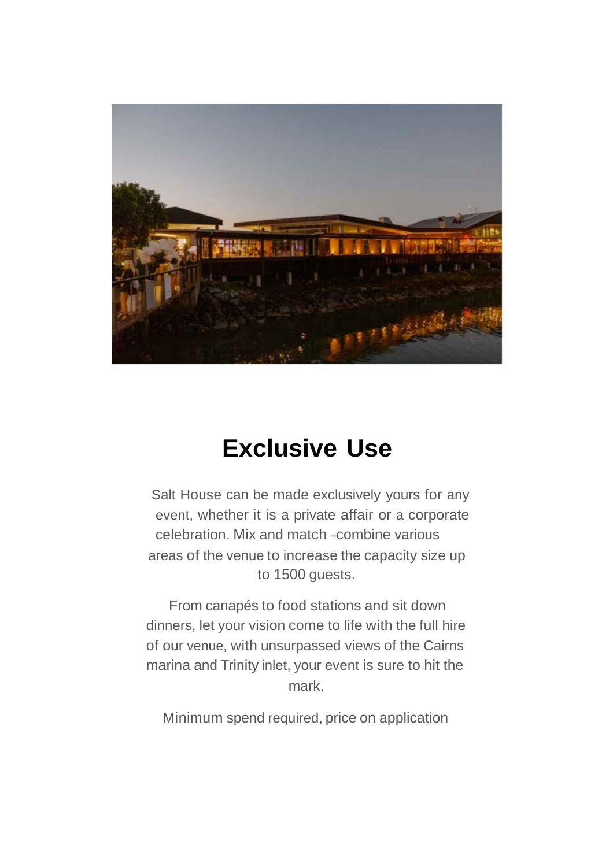

# **Exclusive Use**

Salt House can be made exclusively yours for any event, whether it is a private affair or a corporate celebration. Mix and match –combine various areas of the venue to increase the capacity size up to 1500 guests.

From canapés to food stations and sit down dinners, let your vision come to life with the full hire of our venue, with unsurpassed views of the Cairns marina and Trinity inlet, your event is sure to hit the mark.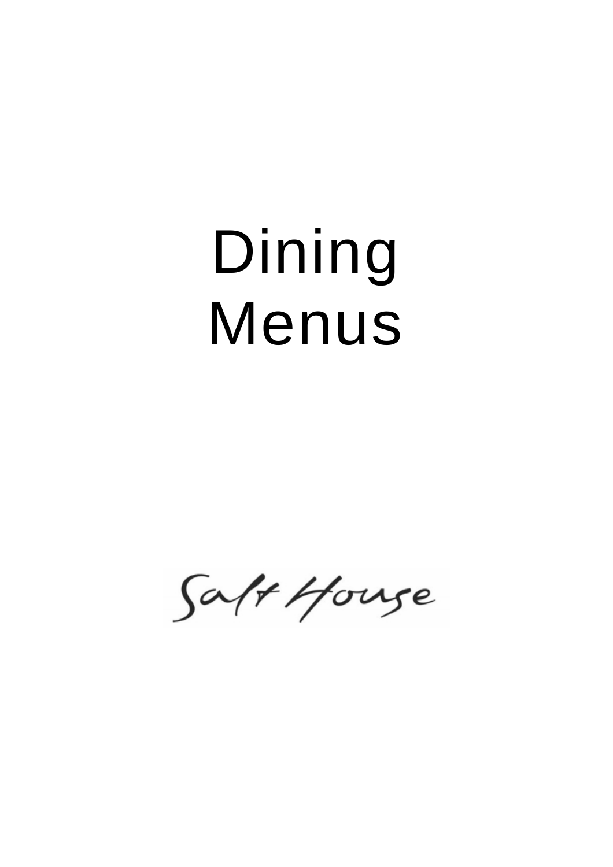# Dining Menus

Saft House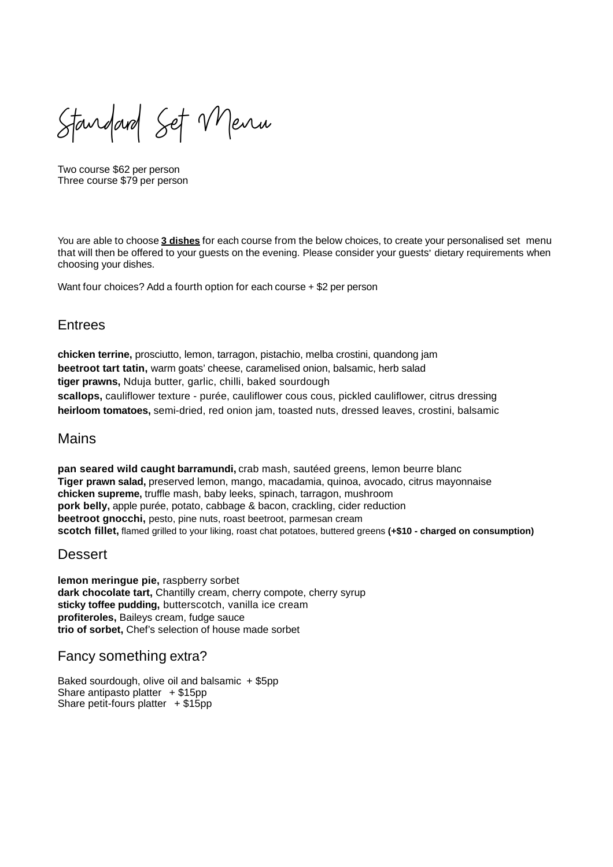Standard Set Menu

Two course \$62 per person Three course \$79 per person

You are able to choose **3 dishes** for each course from the below choices, to create your personalised set menu that will then be offered to your guests on the evening. Please consider your guests' dietary requirements when choosing your dishes.

Want four choices? Add a fourth option for each course + \$2 per person

#### **Entrees**

**chicken terrine,** prosciutto, lemon, tarragon, pistachio, melba crostini, quandong jam **beetroot tart tatin,** warm goats' cheese, caramelised onion, balsamic, herb salad **tiger prawns,** Nduja butter, garlic, chilli, baked sourdough **scallops,** cauliflower texture - purée, cauliflower cous cous, pickled cauliflower, citrus dressing **heirloom tomatoes,** semi-dried, red onion jam, toasted nuts, dressed leaves, crostini, balsamic

#### Mains

**pan seared wild caught barramundi,** crab mash, sautéed greens, lemon beurre blanc **Tiger prawn salad,** preserved lemon, mango, macadamia, quinoa, avocado, citrus mayonnaise **chicken supreme,** truffle mash, baby leeks, spinach, tarragon, mushroom **pork belly,** apple purée, potato, cabbage & bacon, crackling, cider reduction **beetroot gnocchi,** pesto, pine nuts, roast beetroot, parmesan cream **scotch fillet,** flamed grilled to your liking, roast chat potatoes, buttered greens **(+\$10 - charged on consumption)**

#### **Dessert**

**lemon meringue pie,** raspberry sorbet **dark chocolate tart,** Chantilly cream, cherry compote, cherry syrup **sticky toffee pudding,** butterscotch, vanilla ice cream **profiteroles,** Baileys cream, fudge sauce **trio of sorbet,** Chef's selection of house made sorbet

#### Fancy something extra?

Baked sourdough, olive oil and balsamic + \$5pp Share antipasto platter  $+ $15pp$ Share petit-fours platter  $+ $15pp$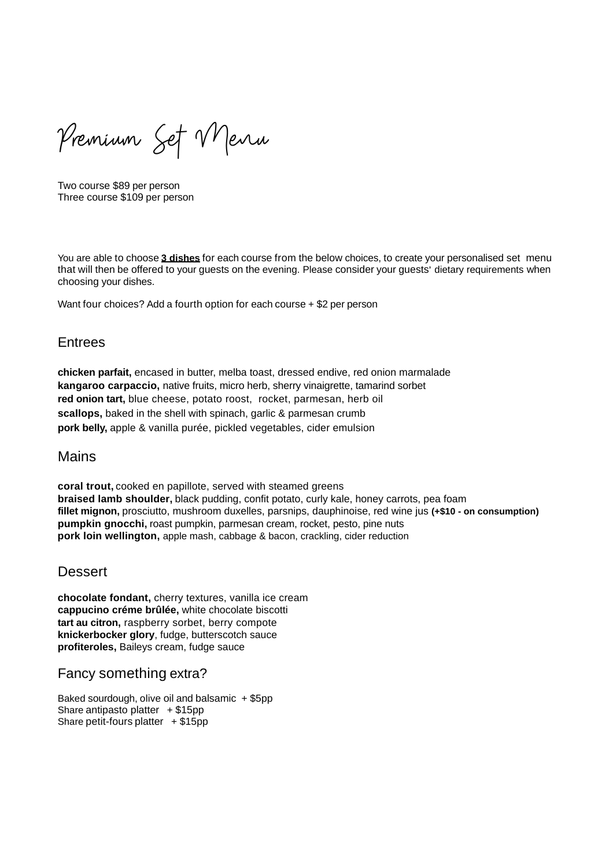Premium Set Menu

Two course \$89 per person Three course \$109 per person

You are able to choose **3 dishes** for each course from the below choices, to create your personalised set menu that will then be offered to your guests on the evening. Please consider your guests' dietary requirements when choosing your dishes.

Want four choices? Add a fourth option for each course + \$2 per person

#### **Entrees**

**chicken parfait,** encased in butter, melba toast, dressed endive, red onion marmalade **kangaroo carpaccio,** native fruits, micro herb, sherry vinaigrette, tamarind sorbet **red onion tart,** blue cheese, potato roost, rocket, parmesan, herb oil **scallops,** baked in the shell with spinach, garlic & parmesan crumb **pork belly,** apple & vanilla purée, pickled vegetables, cider emulsion

#### Mains

**coral trout,** cooked en papillote, served with steamed greens **braised lamb shoulder,** black pudding, confit potato, curly kale, honey carrots, pea foam **fillet mignon,** prosciutto, mushroom duxelles, parsnips, dauphinoise, red wine jus **(+\$10 - on consumption) pumpkin gnocchi,** roast pumpkin, parmesan cream, rocket, pesto, pine nuts **pork loin wellington,** apple mash, cabbage & bacon, crackling, cider reduction

#### **Dessert**

**chocolate fondant,** cherry textures, vanilla ice cream **cappucino créme brûlée,** white chocolate biscotti **tart au citron,** raspberry sorbet, berry compote **knickerbocker glory**, fudge, butterscotch sauce **profiteroles,** Baileys cream, fudge sauce

#### Fancy something extra?

Baked sourdough, olive oil and balsamic  $+$  \$5pp Share antipasto platter  $+ $15pp$ Share petit-fours platter  $+ $15$ pp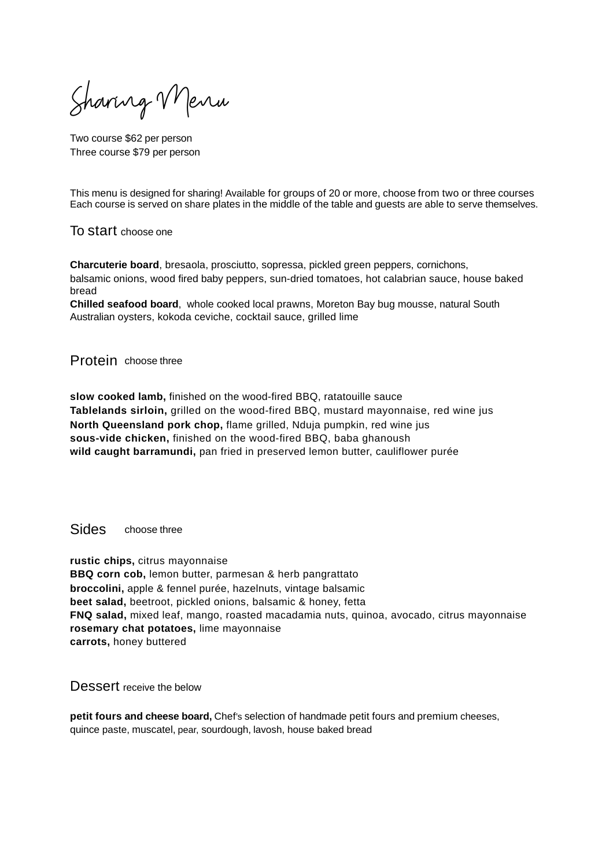Sharing Menu

Two course \$62 per person Three course \$79 per person

This menu is designed for sharing! Available for groups of 20 or more, choose from two or three courses Each course is served on share plates in the middle of the table and guests are able to serve themselves.

To start choose one

**Charcuterie board**, bresaola, prosciutto, sopressa, pickled green peppers, cornichons, balsamic onions, wood fired baby peppers, sun-dried tomatoes, hot calabrian sauce, house baked bread

**Chilled seafood board**, whole cooked local prawns, Moreton Bay bug mousse, natural South Australian oysters, kokoda ceviche, cocktail sauce, grilled lime

#### Protein choose three

**slow cooked lamb,** finished on the wood-fired BBQ, ratatouille sauce **Tablelands sirloin,** grilled on the wood-fired BBQ, mustard mayonnaise, red wine jus **North Queensland pork chop,** flame grilled, Nduja pumpkin, red wine jus **sous-vide chicken,** finished on the wood-fired BBQ, baba ghanoush **wild caught barramundi,** pan fried in preserved lemon butter, cauliflower purée

Sides choose three

**rustic chips,** citrus mayonnaise **BBQ corn cob,** lemon butter, parmesan & herb pangrattato **broccolini,** apple & fennel purée, hazelnuts, vintage balsamic **beet salad,** beetroot, pickled onions, balsamic & honey, fetta **FNQ salad,** mixed leaf, mango, roasted macadamia nuts, quinoa, avocado, citrus mayonnaise **rosemary chat potatoes,** lime mayonnaise **carrots,** honey buttered

Dessert receive the below

**petit fours and cheese board,** Chef's selection of handmade petit fours and premium cheeses, quince paste, muscatel, pear, sourdough, lavosh, house baked bread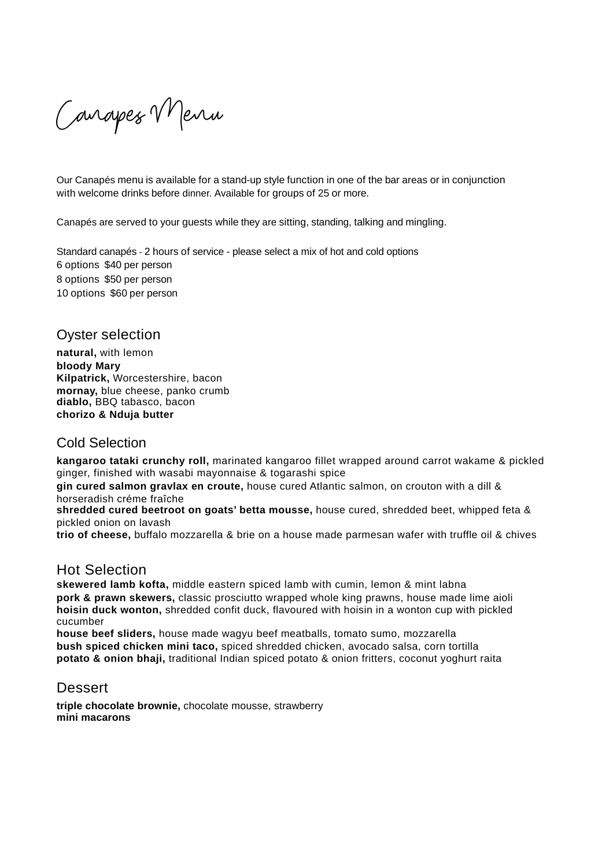Canapes VMenu

Our Canapés menu is available for a stand-up style function in one of the bar areas or in conjunction with welcome drinks before dinner. Available for groups of 25 or more.

Canapés are served to your guests while they are sitting, standing, talking and mingling.

Standard canapés - 2 hours of service - please select a mix of hot and cold options - options \$40 per person options \$50 per person options \$60 per person

#### Oyster selection

**natural,** with lemon **bloody Mary Kilpatrick,** Worcestershire, bacon **mornay,** blue cheese, panko crumb **diablo,** BBQ tabasco, bacon **chorizo & Nduja butter**

#### Cold Selection

**kangaroo tataki crunchy roll,** marinated kangaroo fillet wrapped around carrot wakame & pickled ginger, finished with wasabi mayonnaise & togarashi spice

**gin cured salmon gravlax en croute,** house cured Atlantic salmon, on crouton with a dill & horseradish créme fraîche

**shredded cured beetroot on goats' betta mousse,** house cured, shredded beet, whipped feta & pickled onion on lavash

**trio of cheese,** buffalo mozzarella & brie on a house made parmesan wafer with truffle oil & chives

#### Hot Selection

**skewered lamb kofta,** middle eastern spiced lamb with cumin, lemon & mint labna **pork & prawn skewers,** classic prosciutto wrapped whole king prawns, house made lime aioli **hoisin duck wonton,** shredded confit duck, flavoured with hoisin in a wonton cup with pickled cucumber

**house beef sliders,** house made wagyu beef meatballs, tomato sumo, mozzarella **bush spiced chicken mini taco,** spiced shredded chicken, avocado salsa, corn tortilla **potato & onion bhaji,** traditional Indian spiced potato & onion fritters, coconut yoghurt raita

#### Dessert

**triple chocolate brownie,** chocolate mousse, strawberry **mini macarons**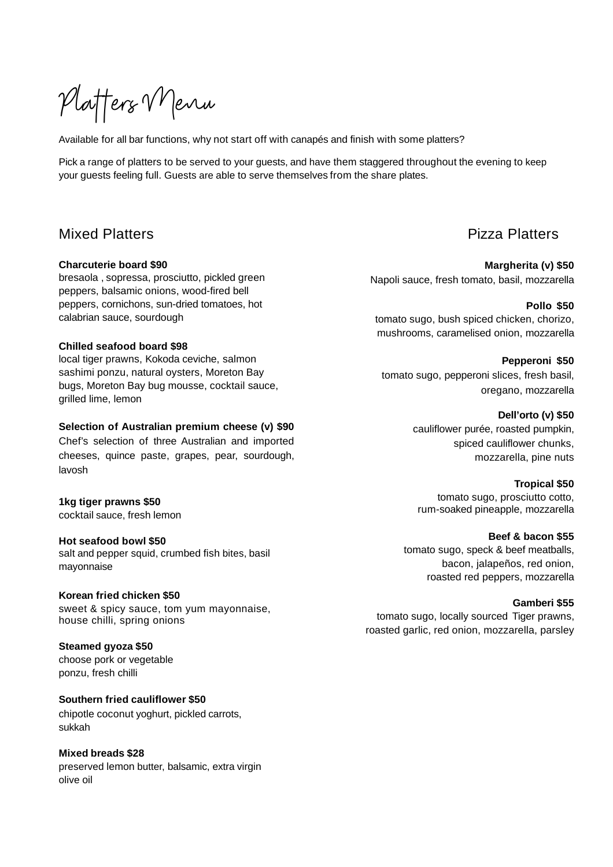Platters Menu

Available for all bar functions, why not start off with canapés and finish with some platters?

Pick a range of platters to be served to your guests, and have them staggered throughout the evening to keep your guests feeling full. Guests are able to serve themselves from the share plates.

#### Mixed Platters

#### **Charcuterie board \$90**

bresaola , sopressa, prosciutto, pickled green peppers, balsamic onions, wood-fired bell peppers, cornichons, sun-dried tomatoes, hot calabrian sauce, sourdough

#### **Chilled seafood board \$98**

local tiger prawns, Kokoda ceviche, salmon sashimi ponzu, natural oysters, Moreton Bay bugs, Moreton Bay bug mousse, cocktail sauce, grilled lime, lemon

#### **Selection of Australian premium cheese (v) \$90**

Chef's selection of three Australian and imported cheeses, quince paste, grapes, pear, sourdough, lavosh

#### **1kg tiger prawns \$50**

cocktail sauce, fresh lemon

#### **Hot seafood bowl \$50**

salt and pepper squid, crumbed fish bites, basil mayonnaise

#### **Korean fried chicken \$50**

sweet & spicy sauce, tom yum mayonnaise, house chilli, spring onions

#### **Steamed gyoza \$50**

choose pork or vegetable ponzu, fresh chilli

#### **Southern fried cauliflower \$50**

chipotle coconut yoghurt, pickled carrots, sukkah

#### **Mixed breads \$28**

preserved lemon butter, balsamic, extra virgin olive oil

#### Pizza Platters

**Margherita (v) \$50** Napoli sauce, fresh tomato, basil, mozzarella

**Pollo \$50** tomato sugo, bush spiced chicken, chorizo, mushrooms, caramelised onion, mozzarella

**Pepperoni \$50** tomato sugo, pepperoni slices, fresh basil, oregano, mozzarella

#### **Dell'orto (v) \$50**

cauliflower purée, roasted pumpkin, spiced cauliflower chunks, mozzarella, pine nuts

**Tropical \$50**

tomato sugo, prosciutto cotto, rum-soaked pineapple, mozzarella

#### **Beef & bacon \$55**

tomato sugo, speck & beef meatballs, bacon, jalapeños, red onion, roasted red peppers, mozzarella

#### **Gamberi \$55**

tomato sugo, locally sourced Tiger prawns. roasted garlic, red onion, mozzarella, parsley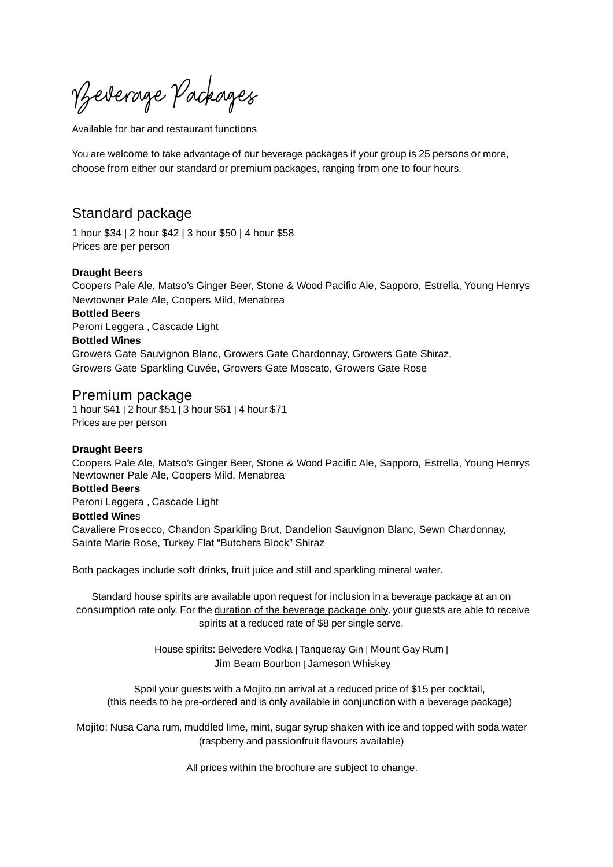Vzeverage Packages

Available for bar and restaurant functions

You are welcome to take advantage of our beverage packages if your group is 25 persons or more, choose from either our standard or premium packages, ranging from one to four hours.

#### Standard package

1 hour \$34 | 2 hour \$42 | 3 hour \$50 | 4 hour \$58 Prices are per person

#### **Draught Beers**

Coopers Pale Ale, Matso's Ginger Beer, Stone & Wood Pacific Ale, Sapporo, Estrella, Young Henrys Newtowner Pale Ale, Coopers Mild, Menabrea

**Bottled Beers** Peroni Leggera , Cascade Light

#### **Bottled Wines**

Growers Gate Sauvignon Blanc, Growers Gate Chardonnay, Growers Gate Shiraz, Growers Gate Sparkling Cuvée, Growers Gate Moscato, Growers Gate Rose

#### Premium package

1 hour \$41 | 2 hour \$51 | 3 hour \$61 | 4 hour \$71 Prices are per person

#### **Draught Beers**

Coopers Pale Ale, Matso's Ginger Beer, Stone & Wood Pacific Ale, Sapporo, Estrella, Young Henrys Newtowner Pale Ale, Coopers Mild, Menabrea

#### **Bottled Beers**

Peroni Leggera , Cascade Light

#### **Bottled Wine**s

Cavaliere Prosecco, Chandon Sparkling Brut, Dandelion Sauvignon Blanc, Sewn Chardonnay, Sainte Marie Rose, Turkey Flat "Butchers Block" Shiraz

Both packages include soft drinks, fruit juice and still and sparkling mineral water.

Standard house spirits are available upon request for inclusion in a beverage package at an on consumption rate only. For the duration of the beverage package only, your guests are able to receive spirits at a reduced rate of \$8 per single serve.

> House spirits: Belvedere Vodka | Tanqueray Gin | Mount Gay Rum | Jim Beam Bourbon | Jameson Whiskey

Spoil your guests with a Mojito on arrival at a reduced price of \$15 per cocktail, (this needs to be pre-ordered and is only available in conjunction with a beverage package)

Mojito: Nusa Cana rum, muddled lime, mint, sugar syrup shaken with ice and topped with soda water (raspberry and passionfruit flavours available)

All prices within the brochure are subject to change.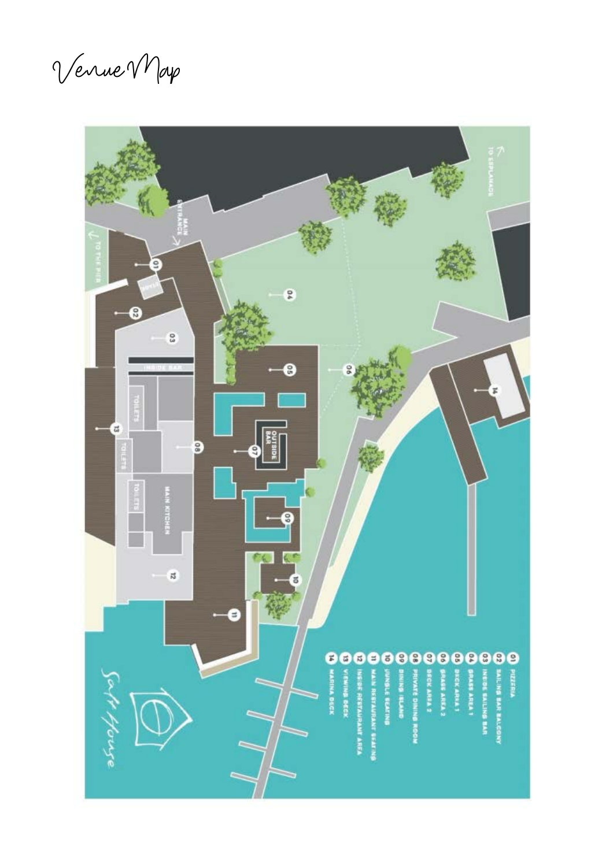Venue Map